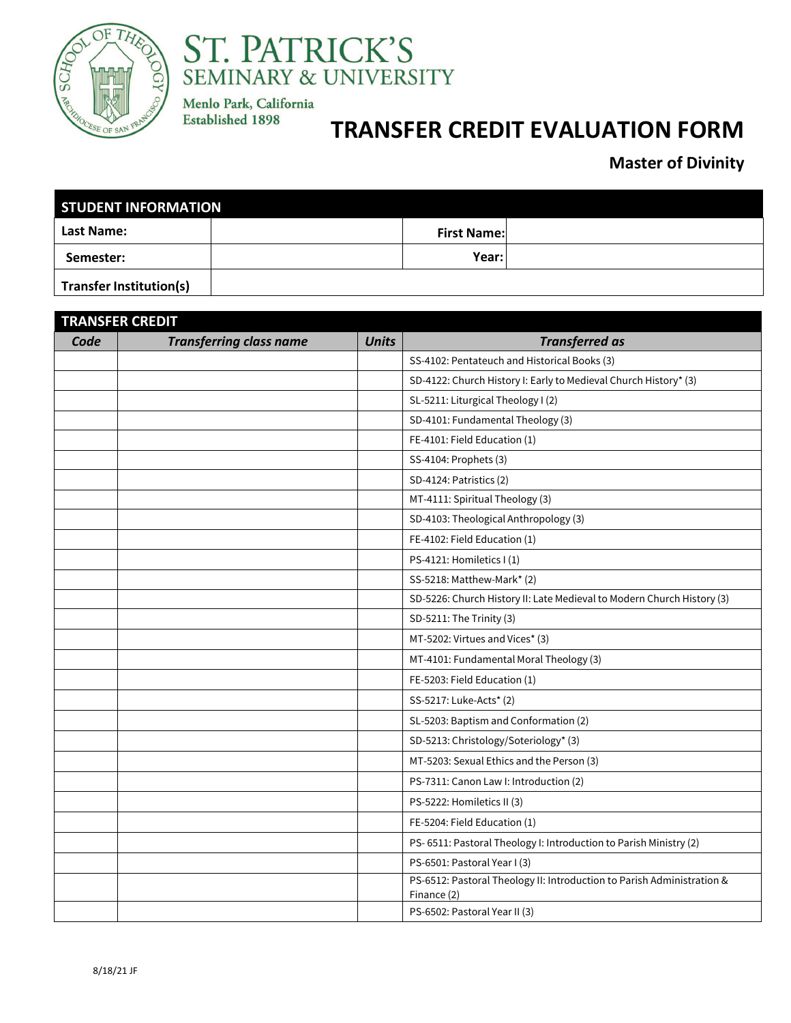



Menlo Park, California **Established 1898** 

## **TRANSFER CREDIT EVALUATION FORM**

**Master of Divinity**

| <b>STUDENT INFORMATION</b>     |  |                    |  |  |  |  |
|--------------------------------|--|--------------------|--|--|--|--|
| <b>Last Name:</b>              |  | <b>First Name:</b> |  |  |  |  |
| Semester:                      |  | Year:l             |  |  |  |  |
| <b>Transfer Institution(s)</b> |  |                    |  |  |  |  |

| <b>TRANSFER CREDIT</b> |                                |              |                                                                                       |  |
|------------------------|--------------------------------|--------------|---------------------------------------------------------------------------------------|--|
| Code                   | <b>Transferring class name</b> | <b>Units</b> | <b>Transferred as</b>                                                                 |  |
|                        |                                |              | SS-4102: Pentateuch and Historical Books (3)                                          |  |
|                        |                                |              | SD-4122: Church History I: Early to Medieval Church History* (3)                      |  |
|                        |                                |              | SL-5211: Liturgical Theology I (2)                                                    |  |
|                        |                                |              | SD-4101: Fundamental Theology (3)                                                     |  |
|                        |                                |              | FE-4101: Field Education (1)                                                          |  |
|                        |                                |              | SS-4104: Prophets (3)                                                                 |  |
|                        |                                |              | SD-4124: Patristics (2)                                                               |  |
|                        |                                |              | MT-4111: Spiritual Theology (3)                                                       |  |
|                        |                                |              | SD-4103: Theological Anthropology (3)                                                 |  |
|                        |                                |              | FE-4102: Field Education (1)                                                          |  |
|                        |                                |              | PS-4121: Homiletics I(1)                                                              |  |
|                        |                                |              | SS-5218: Matthew-Mark* (2)                                                            |  |
|                        |                                |              | SD-5226: Church History II: Late Medieval to Modern Church History (3)                |  |
|                        |                                |              | SD-5211: The Trinity (3)                                                              |  |
|                        |                                |              | MT-5202: Virtues and Vices* (3)                                                       |  |
|                        |                                |              | MT-4101: Fundamental Moral Theology (3)                                               |  |
|                        |                                |              | FE-5203: Field Education (1)                                                          |  |
|                        |                                |              | SS-5217: Luke-Acts* (2)                                                               |  |
|                        |                                |              | SL-5203: Baptism and Conformation (2)                                                 |  |
|                        |                                |              | SD-5213: Christology/Soteriology* (3)                                                 |  |
|                        |                                |              | MT-5203: Sexual Ethics and the Person (3)                                             |  |
|                        |                                |              | PS-7311: Canon Law I: Introduction (2)                                                |  |
|                        |                                |              | PS-5222: Homiletics II (3)                                                            |  |
|                        |                                |              | FE-5204: Field Education (1)                                                          |  |
|                        |                                |              | PS-6511: Pastoral Theology I: Introduction to Parish Ministry (2)                     |  |
|                        |                                |              | PS-6501: Pastoral Year I (3)                                                          |  |
|                        |                                |              | PS-6512: Pastoral Theology II: Introduction to Parish Administration &<br>Finance (2) |  |
|                        |                                |              | PS-6502: Pastoral Year II (3)                                                         |  |